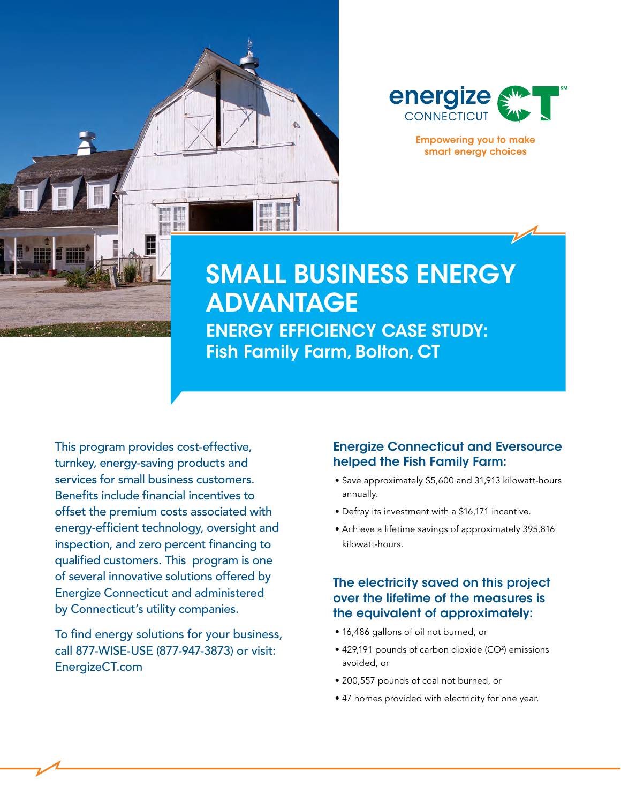



**Empowering you to make** smart energy choices

# SMALL BUSINESS ENERGY ADVANTAGE

ENERGY EFFICIENCY CASE STUDY: Fish Family Farm, Bolton, CT

This program provides cost-effective, turnkey, energy-saving products and services for small business customers. Benefits include financial incentives to offset the premium costs associated with energy-efficient technology, oversight and inspection, and zero percent financing to qualified customers. This program is one of several innovative solutions offered by Energize Connecticut and administered by Connecticut's utility companies.

To find energy solutions for your business, call 877-WISE-USE (877-947-3873) or visit: EnergizeCT.com

#### Energize Connecticut and Eversource helped the Fish Family Farm:

- Save approximately \$5,600 and 31,913 kilowatt-hours annually.
- Defray its investment with a \$16,171 incentive.
- Achieve a lifetime savings of approximately 395,816 kilowatt-hours.

### The electricity saved on this project over the lifetime of the measures is the equivalent of approximately:

- 16,486 gallons of oil not burned, or
- 429,191 pounds of carbon dioxide (CO<sup>2</sup>) emissions avoided, or
- 200,557 pounds of coal not burned, or
- 47 homes provided with electricity for one year.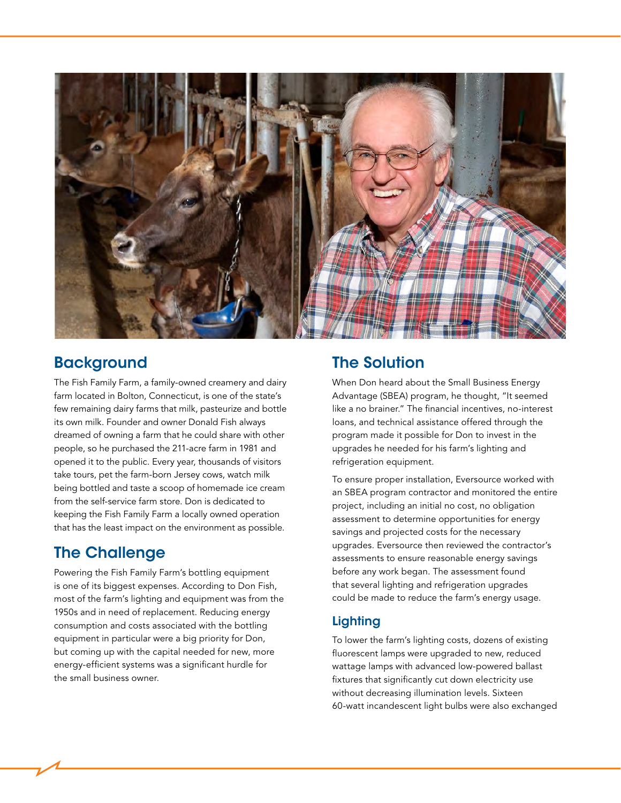

## **Background**

The Fish Family Farm, a family-owned creamery and dairy farm located in Bolton, Connecticut, is one of the state's few remaining dairy farms that milk, pasteurize and bottle its own milk. Founder and owner Donald Fish always dreamed of owning a farm that he could share with other people, so he purchased the 211-acre farm in 1981 and opened it to the public. Every year, thousands of visitors take tours, pet the farm-born Jersey cows, watch milk being bottled and taste a scoop of homemade ice cream from the self-service farm store. Don is dedicated to keeping the Fish Family Farm a locally owned operation that has the least impact on the environment as possible.

## The Challenge

Powering the Fish Family Farm's bottling equipment is one of its biggest expenses. According to Don Fish, most of the farm's lighting and equipment was from the 1950s and in need of replacement. Reducing energy consumption and costs associated with the bottling equipment in particular were a big priority for Don, but coming up with the capital needed for new, more energy-efficient systems was a significant hurdle for the small business owner.

# The Solution

When Don heard about the Small Business Energy Advantage (SBEA) program, he thought, "It seemed like a no brainer." The financial incentives, no-interest loans, and technical assistance offered through the program made it possible for Don to invest in the upgrades he needed for his farm's lighting and refrigeration equipment.

To ensure proper installation, Eversource worked with an SBEA program contractor and monitored the entire project, including an initial no cost, no obligation assessment to determine opportunities for energy savings and projected costs for the necessary upgrades. Eversource then reviewed the contractor's assessments to ensure reasonable energy savings before any work began. The assessment found that several lighting and refrigeration upgrades could be made to reduce the farm's energy usage.

## **Lighting**

To lower the farm's lighting costs, dozens of existing fluorescent lamps were upgraded to new, reduced wattage lamps with advanced low-powered ballast fixtures that significantly cut down electricity use without decreasing illumination levels. Sixteen 60-watt incandescent light bulbs were also exchanged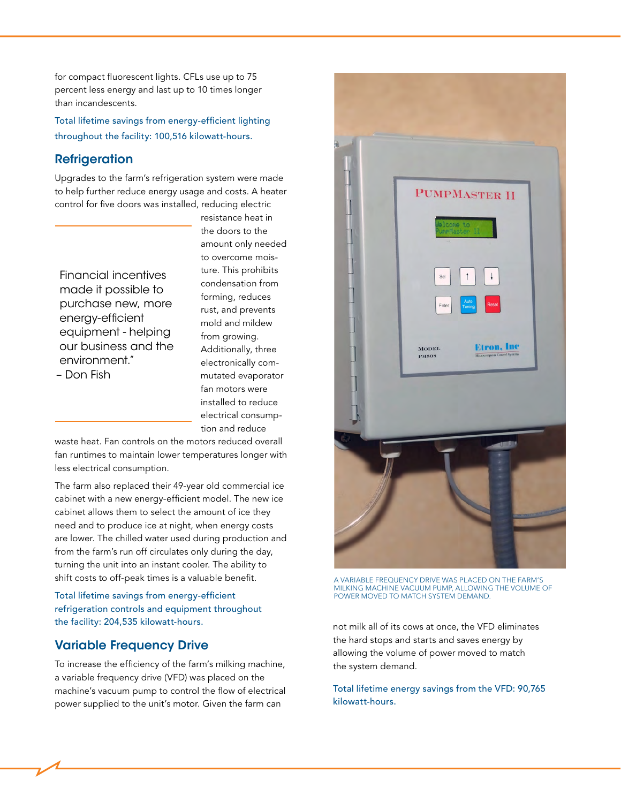for compact fluorescent lights. CFLs use up to 75 percent less energy and last up to 10 times longer than incandescents.

Total lifetime savings from energy-efficient lighting throughout the facility: 100,516 kilowatt-hours.

#### **Refrigeration**

Upgrades to the farm's refrigeration system were made to help further reduce energy usage and costs. A heater control for five doors was installed, reducing electric

Financial incentives made it possible to purchase new, more energy-efficient equipment - helping our business and the environment."

– Don Fish

resistance heat in the doors to the amount only needed to overcome moisture. This prohibits condensation from forming, reduces rust, and prevents mold and mildew from growing. Additionally, three electronically commutated evaporator fan motors were installed to reduce electrical consumption and reduce

waste heat. Fan controls on the motors reduced overall fan runtimes to maintain lower temperatures longer with less electrical consumption.

The farm also replaced their 49-year old commercial ice cabinet with a new energy-efficient model. The new ice cabinet allows them to select the amount of ice they need and to produce ice at night, when energy costs are lower. The chilled water used during production and from the farm's run off circulates only during the day, turning the unit into an instant cooler. The ability to shift costs to off-peak times is a valuable benefit.

#### Total lifetime savings from energy-efficient refrigeration controls and equipment throughout the facility: 204,535 kilowatt-hours.

### Variable Frequency Drive

To increase the efficiency of the farm's milking machine, a variable frequency drive (VFD) was placed on the machine's vacuum pump to control the flow of electrical power supplied to the unit's motor. Given the farm can



A VARIABLE FREQUENCY DRIVE WAS PLACED ON THE FARM'S MILKING MACHINE VACUUM PUMP, ALLOWING THE VOLUME OF POWER MOVED TO MATCH SYSTEM DEMAND.

not milk all of its cows at once, the VFD eliminates the hard stops and starts and saves energy by allowing the volume of power moved to match the system demand.

Total lifetime energy savings from the VFD: 90,765 kilowatt-hours.